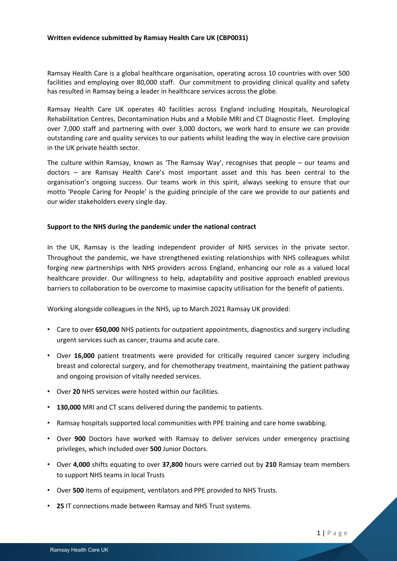## **Written evidence submitted by Ramsay Health Care UK (CBP0031)**

Ramsay Health Care is a global healthcare organisation, operating across 10 countries with over 500 facilities and employing over 80,000 staff. Our commitment to providing clinical quality and safety has resulted in Ramsay being a leader in healthcare services across the globe.

Ramsay Health Care UK operates 40 facilities across England including Hospitals, Neurological Rehabilitation Centres, Decontamination Hubs and a Mobile MRI and CT Diagnostic Fleet. Employing over 7,000 staff and partnering with over 3,000 doctors, we work hard to ensure we can provide outstanding care and quality services to our patients whilst leading the way in elective care provision in the UK private health sector.

The culture within Ramsay, known as 'The Ramsay Way', recognises that people – our teams and doctors – are Ramsay Health Care's most important asset and this has been central to the organisation's ongoing success. Our teams work in this spirit, always seeking to ensure that our motto 'People Caring for People' is the guiding principle of the care we provide to our patients and our wider stakeholders every single day.

# **Support to the NHS during the pandemic under the national contract**

In the UK, Ramsay is the leading independent provider of NHS services in the private sector. Throughout the pandemic, we have strengthened existing relationships with NHS colleagues whilst forging new partnerships with NHS providers across England, enhancing our role as a valued local healthcare provider. Our willingness to help, adaptability and positive approach enabled previous barriers to collaboration to be overcome to maximise capacity utilisation for the benefit of patients.

Working alongside colleagues in the NHS, up to March 2021 Ramsay UK provided:

- Care to over **650,000** NHS patients for outpatient appointments, diagnostics and surgery including urgent services such as cancer, trauma and acute care.
- Over **16,000** patient treatments were provided for critically required cancer surgery including breast and colorectal surgery, and for chemotherapy treatment, maintaining the patient pathway and ongoing provision of vitally needed services.
- Over **20** NHS services were hosted within our facilities.
- **130,000** MRI and CT scans delivered during the pandemic to patients.
- Ramsay hospitals supported local communities with PPE training and care home swabbing.
- Over **900** Doctors have worked with Ramsay to deliver services under emergency practising privileges, which included over **500** Junior Doctors.
- Over **4,000** shifts equating to over **37,800** hours were carried out by **210** Ramsay team members to support NHS teams in local Trusts
- Over **500** items of equipment, ventilators and PPE provided to NHS Trusts.
- **25** IT connections made between Ramsay and NHS Trust systems.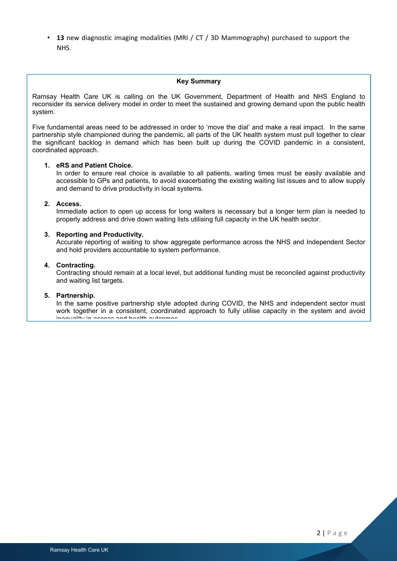• **13** new diagnostic imaging modalities (MRI / CT / 3D Mammography) purchased to support the NHS.

## **Key Summary**

Ramsay Health Care UK is calling on the UK Government, Department of Health and NHS England to reconsider its service delivery model in order to meet the sustained and growing demand upon the public health system.

Five fundamental areas need to be addressed in order to 'move the dial' and make a real impact. In the same partnership style championed during the pandemic, all parts of the UK health system must pull together to clear the significant backlog in demand which has been built up during the COVID pandemic in a consistent, coordinated approach.

## **1. eRS and Patient Choice.**

In order to ensure real choice is available to all patients, waiting times must be easily available and accessible to GPs and patients, to avoid exacerbating the existing waiting list issues and to allow supply and demand to drive productivity in local systems.

## **2. Access.**

Immediate action to open up access for long waiters is necessary but a longer term plan is needed to properly address and drive down waiting lists utilising full capacity in the UK health sector.

## **3. Reporting and Productivity.**

Accurate reporting of waiting to show aggregate performance across the NHS and Independent Sector and hold providers accountable to system performance.

## **4. Contracting.**

Contracting should remain at a local level, but additional funding must be reconciled against productivity and waiting list targets.

## **5. Partnership.**

In the same positive partnership style adopted during COVID, the NHS and independent sector must work together in a consistent, coordinated approach to fully utilise capacity in the system and avoid incouplify in access and health outcomes.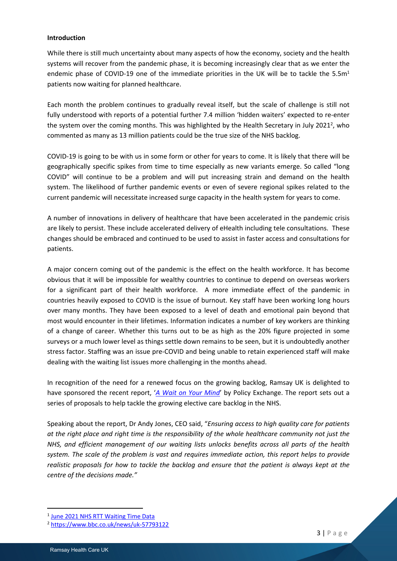## **Introduction**

While there is still much uncertainty about many aspects of how the economy, society and the health systems will recover from the pandemic phase, it is becoming increasingly clear that as we enter the endemic phase of COVID-19 one of the immediate priorities in the UK will be to tackle the  $5.5m<sup>1</sup>$ patients now waiting for planned healthcare.

Each month the problem continues to gradually reveal itself, but the scale of challenge is still not fully understood with reports of a potential further 7.4 million 'hidden waiters' expected to re-enter the system over the coming months. This was highlighted by the Health Secretary in July 2021<sup>2</sup>, who commented as many as 13 million patients could be the true size of the NHS backlog.

COVID-19 is going to be with us in some form or other for years to come. It is likely that there will be geographically specific spikes from time to time especially as new variants emerge. So called "long COVID" will continue to be a problem and will put increasing strain and demand on the health system. The likelihood of further pandemic events or even of severe regional spikes related to the current pandemic will necessitate increased surge capacity in the health system for years to come.

A number of innovations in delivery of healthcare that have been accelerated in the pandemic crisis are likely to persist. These include accelerated delivery of eHealth including tele consultations. These changes should be embraced and continued to be used to assist in faster access and consultations for patients.

A major concern coming out of the pandemic is the effect on the health workforce. It has become obvious that it will be impossible for wealthy countries to continue to depend on overseas workers for a significant part of their health workforce. A more immediate effect of the pandemic in countries heavily exposed to COVID is the issue of burnout. Key staff have been working long hours over many months. They have been exposed to a level of death and emotional pain beyond that most would encounter in their lifetimes. Information indicates a number of key workers are thinking of a change of career. Whether this turns out to be as high as the 20% figure projected in some surveys or a much lower level as things settle down remains to be seen, but it is undoubtedly another stress factor. Staffing was an issue pre-COVID and being unable to retain experienced staff will make dealing with the waiting list issues more challenging in the months ahead.

In recognition of the need for a renewed focus on the growing backlog, Ramsay UK is delighted to have sponsored the recent report, '*[A](https://policyexchange.org.uk/publication/a-wait-on-your-mind/) [Wait](https://policyexchange.org.uk/publication/a-wait-on-your-mind/) [on](https://policyexchange.org.uk/publication/a-wait-on-your-mind/) [Your](https://policyexchange.org.uk/publication/a-wait-on-your-mind/) [Mind](https://policyexchange.org.uk/publication/a-wait-on-your-mind/)*' by Policy Exchange. The report sets out a series of proposals to help tackle the growing elective care backlog in the NHS.

Speaking about the report, Dr Andy Jones, CEO said, "*Ensuring access to high quality care for patients* at the right place and right time is the responsibility of the whole healthcare community not just the *NHS, and efficient management of our waiting lists unlocks benefits across all parts of the health system. The scale of the problem is vast and requires immediate action, this report helps to provide* realistic proposals for how to tackle the backlog and ensure that the patient is always kept at the *centre of the decisions made."*

<sup>&</sup>lt;sup>1</sup> [June](https://www.england.nhs.uk/statistics/wp-content/uploads/sites/2/2021/08/RTT-statistical-press-notice-Jun21-PDF-410K-69343.pdf) [2021](https://www.england.nhs.uk/statistics/wp-content/uploads/sites/2/2021/08/RTT-statistical-press-notice-Jun21-PDF-410K-69343.pdf) [NHS](https://www.england.nhs.uk/statistics/wp-content/uploads/sites/2/2021/08/RTT-statistical-press-notice-Jun21-PDF-410K-69343.pdf) [RTT](https://www.england.nhs.uk/statistics/wp-content/uploads/sites/2/2021/08/RTT-statistical-press-notice-Jun21-PDF-410K-69343.pdf) [Waiting](https://www.england.nhs.uk/statistics/wp-content/uploads/sites/2/2021/08/RTT-statistical-press-notice-Jun21-PDF-410K-69343.pdf) [Time](https://www.england.nhs.uk/statistics/wp-content/uploads/sites/2/2021/08/RTT-statistical-press-notice-Jun21-PDF-410K-69343.pdf) [Data](https://www.england.nhs.uk/statistics/wp-content/uploads/sites/2/2021/08/RTT-statistical-press-notice-Jun21-PDF-410K-69343.pdf)

<sup>2</sup> <https://www.bbc.co.uk/news/uk-57793122>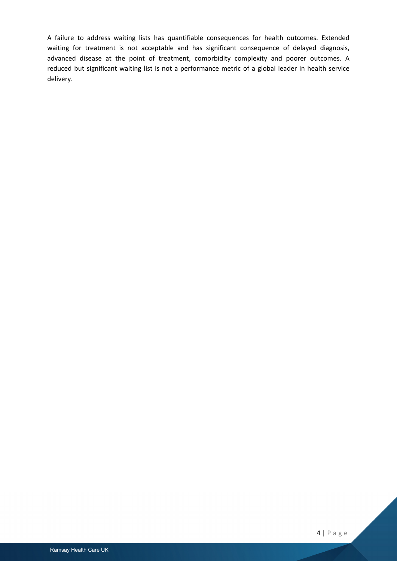A failure to address waiting lists has quantifiable consequences for health outcomes. Extended waiting for treatment is not acceptable and has significant consequence of delayed diagnosis, advanced disease at the point of treatment, comorbidity complexity and poorer outcomes. A reduced but significant waiting list is not a performance metric of a global leader in health service delivery.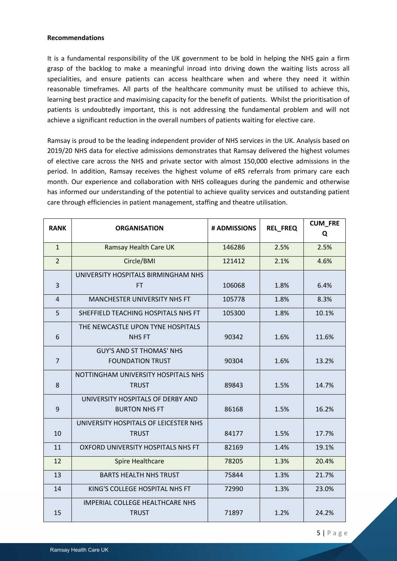## **Recommendations**

It is a fundamental responsibility of the UK government to be bold in helping the NHS gain a firm grasp of the backlog to make a meaningful inroad into driving down the waiting lists across all specialities, and ensure patients can access healthcare when and where they need it within reasonable timeframes. All parts of the healthcare community must be utilised to achieve this, learning best practice and maximising capacity for the benefit of patients. Whilst the prioritisation of patients is undoubtedly important, this is not addressing the fundamental problem and will not achieve a significant reduction in the overall numbers of patients waiting for elective care.

Ramsay is proud to be the leading independent provider of NHS services in the UK. Analysis based on 2019/20 NHS data for elective admissions demonstrates that Ramsay delivered the highest volumes of elective care across the NHS and private sector with almost 150,000 elective admissions in the period. In addition, Ramsay receives the highest volume of eRS referrals from primary care each month. Our experience and collaboration with NHS colleagues during the pandemic and otherwise has informed our understanding of the potential to achieve quality services and outstanding patient care through efficiencies in patient management, staffing and theatre utilisation.

| <b>RANK</b>    | <b>ORGANISATION</b>                    | # ADMISSIONS | <b>REL_FREQ</b> | <b>CUM_FRE</b><br>Q |
|----------------|----------------------------------------|--------------|-----------------|---------------------|
| $\mathbf{1}$   | <b>Ramsay Health Care UK</b>           | 146286       | 2.5%            | 2.5%                |
| $\overline{2}$ | Circle/BMI                             | 121412       | 2.1%            | 4.6%                |
|                | UNIVERSITY HOSPITALS BIRMINGHAM NHS    |              |                 |                     |
| 3              | FT.                                    | 106068       | 1.8%            | 6.4%                |
| $\overline{4}$ | MANCHESTER UNIVERSITY NHS FT           | 105778       | 1.8%            | 8.3%                |
| 5              | SHEFFIELD TEACHING HOSPITALS NHS FT    | 105300       | 1.8%            | 10.1%               |
|                | THE NEWCASTLE UPON TYNE HOSPITALS      |              |                 |                     |
| 6              | <b>NHS FT</b>                          | 90342        | 1.6%            | 11.6%               |
|                | <b>GUY'S AND ST THOMAS' NHS</b>        |              |                 |                     |
| $\overline{7}$ | <b>FOUNDATION TRUST</b>                | 90304        | 1.6%            | 13.2%               |
|                | NOTTINGHAM UNIVERSITY HOSPITALS NHS    |              |                 |                     |
| 8              | <b>TRUST</b>                           | 89843        | 1.5%            | 14.7%               |
|                | UNIVERSITY HOSPITALS OF DERBY AND      |              |                 |                     |
| $\mathsf 9$    | <b>BURTON NHS FT</b>                   | 86168        | 1.5%            | 16.2%               |
|                | UNIVERSITY HOSPITALS OF LEICESTER NHS  |              |                 |                     |
| 10             | <b>TRUST</b>                           | 84177        | 1.5%            | 17.7%               |
| 11             | OXFORD UNIVERSITY HOSPITALS NHS FT     | 82169        | 1.4%            | 19.1%               |
| 12             | <b>Spire Healthcare</b>                | 78205        | 1.3%            | 20.4%               |
| 13             | <b>BARTS HEALTH NHS TRUST</b>          | 75844        | 1.3%            | 21.7%               |
| 14             | KING'S COLLEGE HOSPITAL NHS FT         | 72990        | 1.3%            | 23.0%               |
|                | <b>IMPERIAL COLLEGE HEALTHCARE NHS</b> |              |                 |                     |
| 15             | <b>TRUST</b>                           | 71897        | 1.2%            | 24.2%               |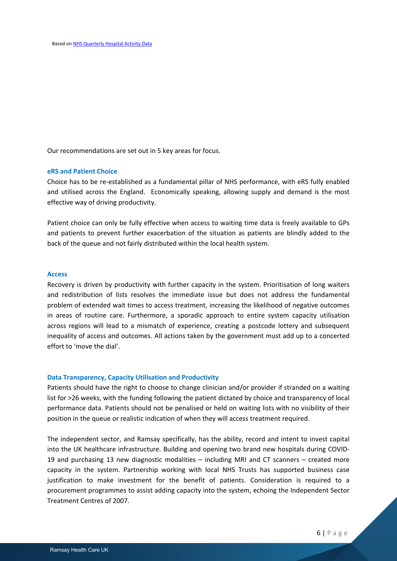Our recommendations are set out in 5 key areas for focus.

## **eRS and Patient Choice**

Choice has to be re-established as a fundamental pillar of NHS performance, with eRS fully enabled and utilised across the England. Economically speaking, allowing supply and demand is the most effective way of driving productivity.

Patient choice can only be fully effective when access to waiting time data is freely available to GPs and patients to prevent further exacerbation of the situation as patients are blindly added to the back of the queue and not fairly distributed within the local health system.

#### **Access**

Recovery is driven by productivity with further capacity in the system. Prioritisation of long waiters and redistribution of lists resolves the immediate issue but does not address the fundamental problem of extended wait times to access treatment, increasing the likelihood of negative outcomes in areas of routine care. Furthermore, a sporadic approach to entire system capacity utilisation across regions will lead to a mismatch of experience, creating a postcode lottery and subsequent inequality of access and outcomes. All actions taken by the government must add up to a concerted effort to 'move the dial'.

## **Data Transparency, Capacity Utilisation and Productivity**

Patients should have the right to choose to change clinician and/or provider if stranded on a waiting list for >26 weeks, with the funding following the patient dictated by choice and transparency of local performance data. Patients should not be penalised or held on waiting lists with no visibility of their position in the queue or realistic indication of when they will access treatment required.

The independent sector, and Ramsay specifically, has the ability, record and intent to invest capital into the UK healthcare infrastructure. Building and opening two brand new hospitals during COVID-19 and purchasing 13 new diagnostic modalities – including MRI and CT scanners – created more capacity in the system. Partnership working with local NHS Trusts has supported business case justification to make investment for the benefit of patients. Consideration is required to a procurement programmes to assist adding capacity into the system, echoing the Independent Sector Treatment Centres of 2007.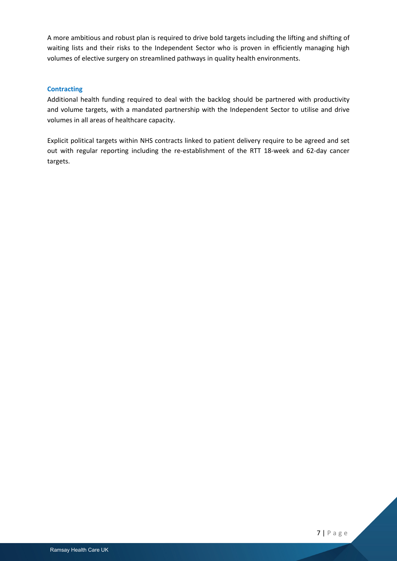A more ambitious and robust plan is required to drive bold targets including the lifting and shifting of waiting lists and their risks to the Independent Sector who is proven in efficiently managing high volumes of elective surgery on streamlined pathways in quality health environments.

# **Contracting**

Additional health funding required to deal with the backlog should be partnered with productivity and volume targets, with a mandated partnership with the Independent Sector to utilise and drive volumes in all areas of healthcare capacity.

Explicit political targets within NHS contracts linked to patient delivery require to be agreed and set out with regular reporting including the re-establishment of the RTT 18-week and 62-day cancer targets.